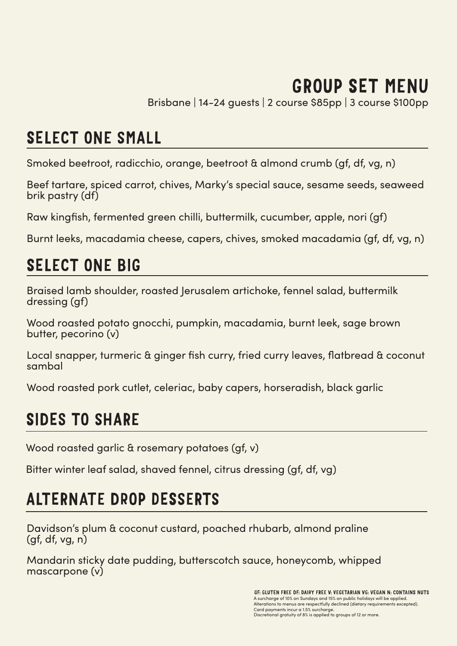# GROUP SET MENU

Brisbane | 14-24 guests | 2 course \$85pp | 3 course \$100pp

## SELECT ONE SMALL

Smoked beetroot, radicchio, orange, beetroot & almond crumb (gf, df, vg, n)

Beef tartare, spiced carrot, chives, Marky's special sauce, sesame seeds, seaweed brik pastry (df)

Raw kingfish, fermented green chilli, buttermilk, cucumber, apple, nori (gf)

Burnt leeks, macadamia cheese, capers, chives, smoked macadamia (gf, df, vg, n)

# SELECT ONE BIG

Braised lamb shoulder, roasted Jerusalem artichoke, fennel salad, buttermilk dressing (gf)

Wood roasted potato gnocchi, pumpkin, macadamia, burnt leek, sage brown butter, pecorino (v)

Local snapper, turmeric & ginger fish curry, fried curry leaves, flatbread & coconut sambal

Wood roasted pork cutlet, celeriac, baby capers, horseradish, black garlic

# SIDES TO SHARE

Wood roasted garlic & rosemary potatoes (gf, v)

Bitter winter leaf salad, shaved fennel, citrus dressing (gf, df, vg)

# ALTERNATE DROP DESSERTS

Davidson's plum & coconut custard, poached rhubarb, almond praline (gf, df, vg, n)

Mandarin sticky date pudding, butterscotch sauce, honeycomb, whipped mascarpone (v)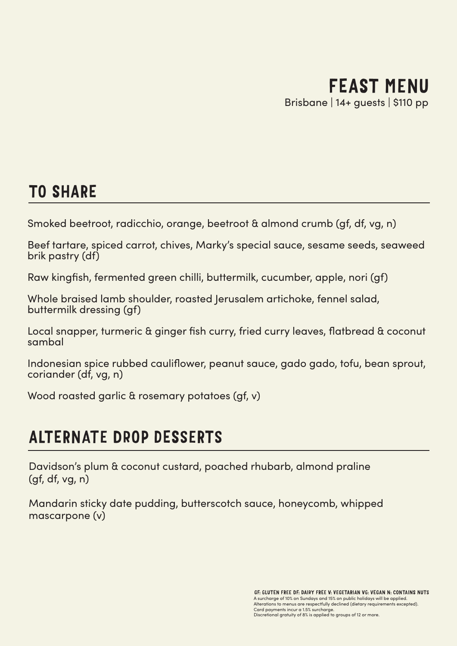## TO SHARE

Smoked beetroot, radicchio, orange, beetroot & almond crumb (gf, df, vg, n)

Beef tartare, spiced carrot, chives, Marky's special sauce, sesame seeds, seaweed brik pastry (df)

Raw kingfish, fermented green chilli, buttermilk, cucumber, apple, nori (gf)

Whole braised lamb shoulder, roasted Jerusalem artichoke, fennel salad, buttermilk dressing (gf)

Local snapper, turmeric & ginger fish curry, fried curry leaves, flatbread & coconut sambal

Indonesian spice rubbed cauliflower, peanut sauce, gado gado, tofu, bean sprout, coriander (df, vg, n)

Wood roasted garlic & rosemary potatoes (gf, v)

# ALTERNATE DROP DESSERTS

Davidson's plum & coconut custard, poached rhubarb, almond praline (gf, df, vg, n)

Mandarin sticky date pudding, butterscotch sauce, honeycomb, whipped mascarpone (v)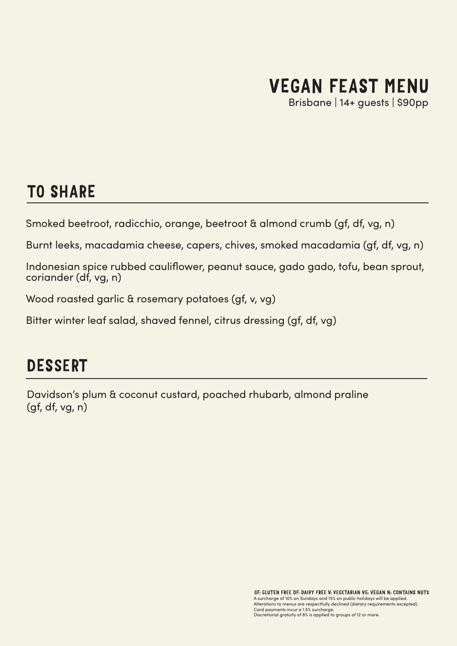# VEGAN FEAST MENU

Brisbane | 14+ guests | \$90pp

### TO SHARE

Smoked beetroot, radicchio, orange, beetroot & almond crumb (gf, df, vg, n)

Burnt leeks, macadamia cheese, capers, chives, smoked macadamia (gf, df, vg, n)

Indonesian spice rubbed cauliflower, peanut sauce, gado gado, tofu, bean sprout, coriander (df, vg, n)

Wood roasted garlic & rosemary potatoes (gf, v, vg)

Bitter winter leaf salad, shaved fennel, citrus dressing (gf, df, vg)

### DESSERT

Davidson's plum & coconut custard, poached rhubarb, almond praline (gf, df, vg, n)